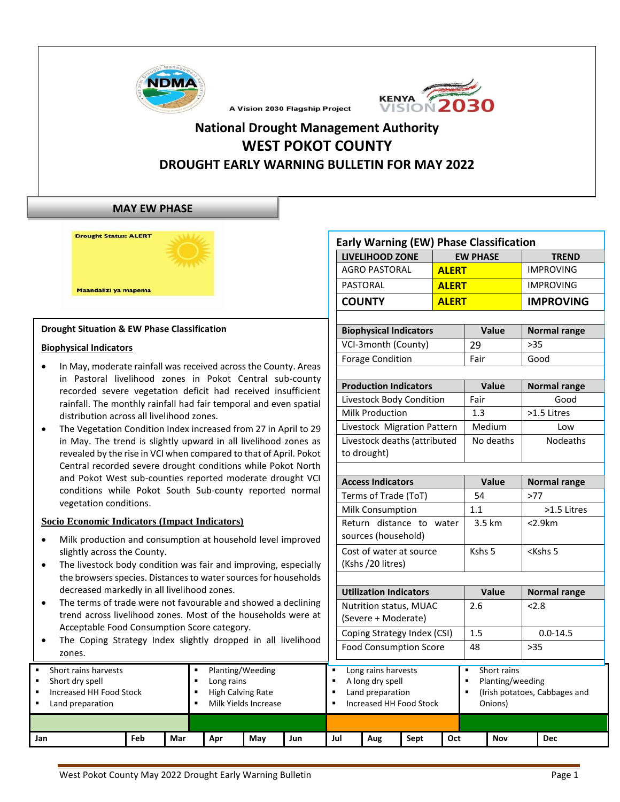



# **National Drought Management Authority WEST POKOT COUNTY DROUGHT EARLY WARNING BULLETIN FOR MAY 2022**

A Vision 2030 Flagship Project

#### **MAY EW PHASE**

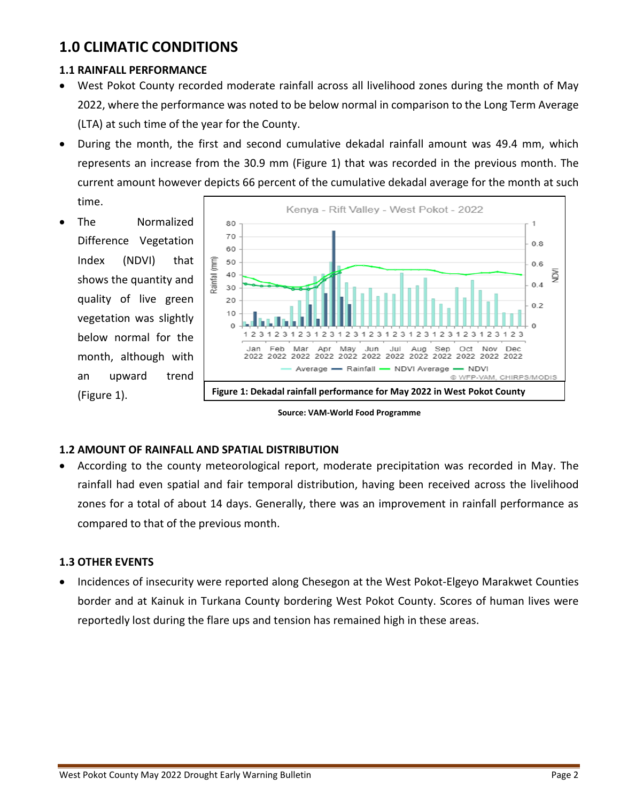# **1.0 CLIMATIC CONDITIONS**

### **1.1 RAINFALL PERFORMANCE**

- West Pokot County recorded moderate rainfall across all livelihood zones during the month of May 2022, where the performance was noted to be below normal in comparison to the Long Term Average (LTA) at such time of the year for the County.
- During the month, the first and second cumulative dekadal rainfall amount was 49.4 mm, which represents an increase from the 30.9 mm (Figure 1) that was recorded in the previous month. The current amount however depicts 66 percent of the cumulative dekadal average for the month at such

time.

The Normalized Difference Vegetation Index (NDVI) that shows the quantity and quality of live green vegetation was slightly below normal for the month, although with an upward trend (Figure 1).



**Source: VAM-World Food Programme**

#### **1.2 AMOUNT OF RAINFALL AND SPATIAL DISTRIBUTION**

• According to the county meteorological report, moderate precipitation was recorded in May. The rainfall had even spatial and fair temporal distribution, having been received across the livelihood zones for a total of about 14 days. Generally, there was an improvement in rainfall performance as compared to that of the previous month.

### **1.3 OTHER EVENTS**

• Incidences of insecurity were reported along Chesegon at the West Pokot-Elgeyo Marakwet Counties border and at Kainuk in Turkana County bordering West Pokot County. Scores of human lives were reportedly lost during the flare ups and tension has remained high in these areas.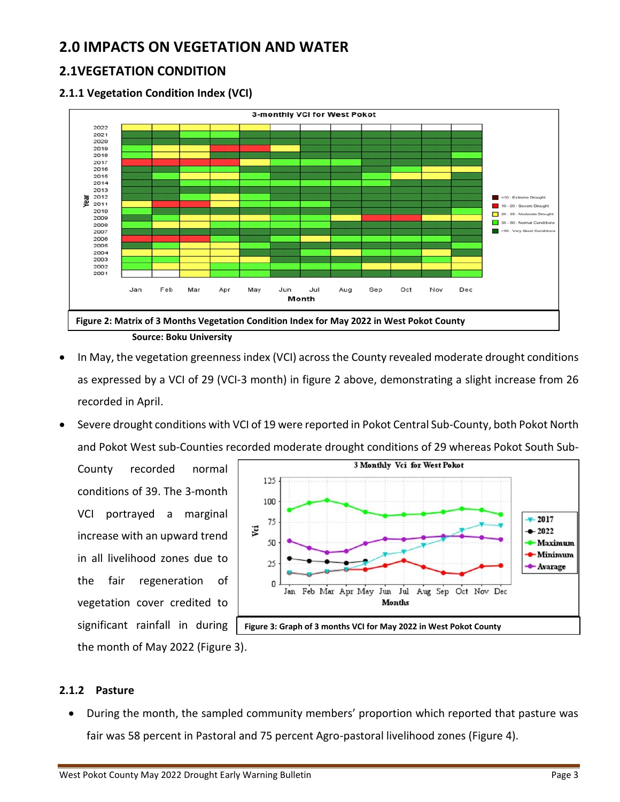# **2.0 IMPACTS ON VEGETATION AND WATER**

## **2.1VEGETATION CONDITION**

### **2.1.1 Vegetation Condition Index (VCI)**



**Source: Boku University**

- In May, the vegetation greenness index (VCI) across the County revealed moderate drought conditions as expressed by a VCI of 29 (VCI-3 month) in figure 2 above, demonstrating a slight increase from 26 recorded in April.
- Severe drought conditions with VCI of 19 were reported in Pokot Central Sub-County, both Pokot North and Pokot West sub-Counties recorded moderate drought conditions of 29 whereas Pokot South Sub-

County recorded normal conditions of 39. The 3-month VCI portrayed a marginal increase with an upward trend in all livelihood zones due to the fair regeneration of vegetation cover credited to significant rainfall in during the month of May 2022 (Figure 3).



#### **2.1.2 Pasture**

• During the month, the sampled community members' proportion which reported that pasture was fair was 58 percent in Pastoral and 75 percent Agro-pastoral livelihood zones (Figure 4).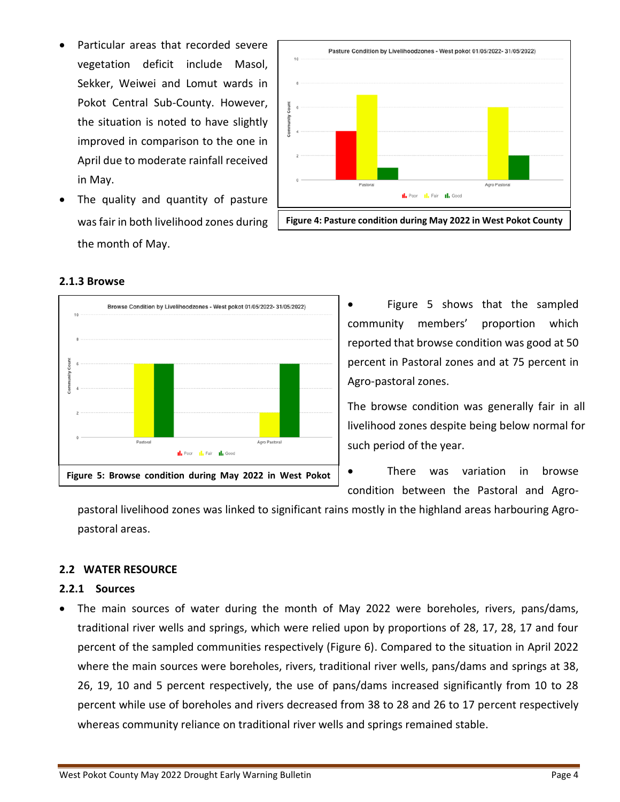- Particular areas that recorded severe vegetation deficit include Masol, Sekker, Weiwei and Lomut wards in Pokot Central Sub-County. However, the situation is noted to have slightly improved in comparison to the one in April due to moderate rainfall received in May.
- The quality and quantity of pasture was fair in both livelihood zones during the month of May.



| Pastoral | Agro Pastoral                                            |
|----------|----------------------------------------------------------|
|          | <b>I.</b> Poor <b>I.</b> Fair <b>I.</b> Good             |
|          |                                                          |
|          | Figure 5: Browse condition during May 2022 in West Pokot |

#### **2.1.3 Browse**

Figure 5 shows that the sampled community members' proportion which reported that browse condition was good at 50 percent in Pastoral zones and at 75 percent in Agro-pastoral zones.

The browse condition was generally fair in all livelihood zones despite being below normal for such period of the year.

There was variation in browse condition between the Pastoral and Agro-

pastoral livelihood zones was linked to significant rains mostly in the highland areas harbouring Agropastoral areas.

#### **2.2 WATER RESOURCE**

#### **2.2.1 Sources**

• The main sources of water during the month of May 2022 were boreholes, rivers, pans/dams, traditional river wells and springs, which were relied upon by proportions of 28, 17, 28, 17 and four percent of the sampled communities respectively (Figure 6). Compared to the situation in April 2022 where the main sources were boreholes, rivers, traditional river wells, pans/dams and springs at 38, 26, 19, 10 and 5 percent respectively, the use of pans/dams increased significantly from 10 to 28 percent while use of boreholes and rivers decreased from 38 to 28 and 26 to 17 percent respectively whereas community reliance on traditional river wells and springs remained stable.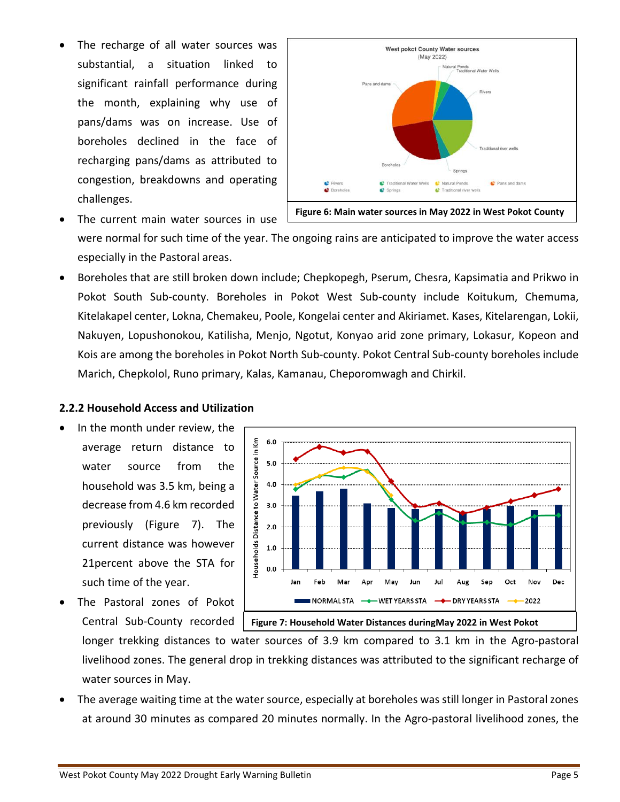The recharge of all water sources was substantial, a situation linked to significant rainfall performance during the month, explaining why use of pans/dams was on increase. Use of boreholes declined in the face of recharging pans/dams as attributed to congestion, breakdowns and operating challenges.



The current main water sources in use

were normal for such time of the year. The ongoing rains are anticipated to improve the water access especially in the Pastoral areas.

• Boreholes that are still broken down include; Chepkopegh, Pserum, Chesra, Kapsimatia and Prikwo in Pokot South Sub-county. Boreholes in Pokot West Sub-county include Koitukum, Chemuma, Kitelakapel center, Lokna, Chemakeu, Poole, Kongelai center and Akiriamet. Kases, Kitelarengan, Lokii, Nakuyen, Lopushonokou, Katilisha, Menjo, Ngotut, Konyao arid zone primary, Lokasur, Kopeon and Kois are among the boreholes in Pokot North Sub-county. Pokot Central Sub-county boreholes include Marich, Chepkolol, Runo primary, Kalas, Kamanau, Cheporomwagh and Chirkil.

#### **2.2.2 Household Access and Utilization**

- In the month under review, the average return distance to water source from the household was 3.5 km, being a decrease from 4.6 km recorded previously (Figure 7). The current distance was however 21percent above the STA for such time of the year.
- The Pastoral zones of Pokot Central Sub-County recorded



longer trekking distances to water sources of 3.9 km compared to 3.1 km in the Agro-pastoral livelihood zones. The general drop in trekking distances was attributed to the significant recharge of water sources in May.

• The average waiting time at the water source, especially at boreholes was still longer in Pastoral zones at around 30 minutes as compared 20 minutes normally. In the Agro-pastoral livelihood zones, the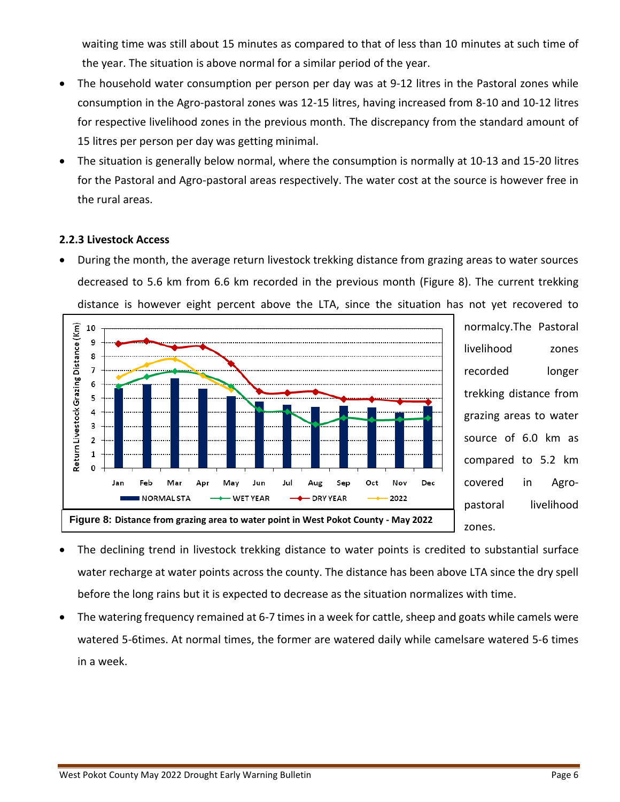waiting time was still about 15 minutes as compared to that of less than 10 minutes at such time of the year. The situation is above normal for a similar period of the year.

- The household water consumption per person per day was at 9-12 litres in the Pastoral zones while consumption in the Agro-pastoral zones was 12-15 litres, having increased from 8-10 and 10-12 litres for respective livelihood zones in the previous month. The discrepancy from the standard amount of 15 litres per person per day was getting minimal.
- The situation is generally below normal, where the consumption is normally at 10-13 and 15-20 litres for the Pastoral and Agro-pastoral areas respectively. The water cost at the source is however free in the rural areas.

#### **2.2.3 Livestock Access**

• During the month, the average return livestock trekking distance from grazing areas to water sources decreased to 5.6 km from 6.6 km recorded in the previous month (Figure 8). The current trekking distance is however eight percent above the LTA, since the situation has not yet recovered to



normalcy.The Pastoral livelihood zones recorded longer trekking distance from grazing areas to water source of 6.0 km as compared to 5.2 km covered in Agropastoral livelihood zones.

- The declining trend in livestock trekking distance to water points is credited to substantial surface water recharge at water points across the county. The distance has been above LTA since the dry spell before the long rains but it is expected to decrease as the situation normalizes with time.
- The watering frequency remained at 6-7 times in a week for cattle, sheep and goats while camels were watered 5-6times. At normal times, the former are watered daily while camelsare watered 5-6 times in a week.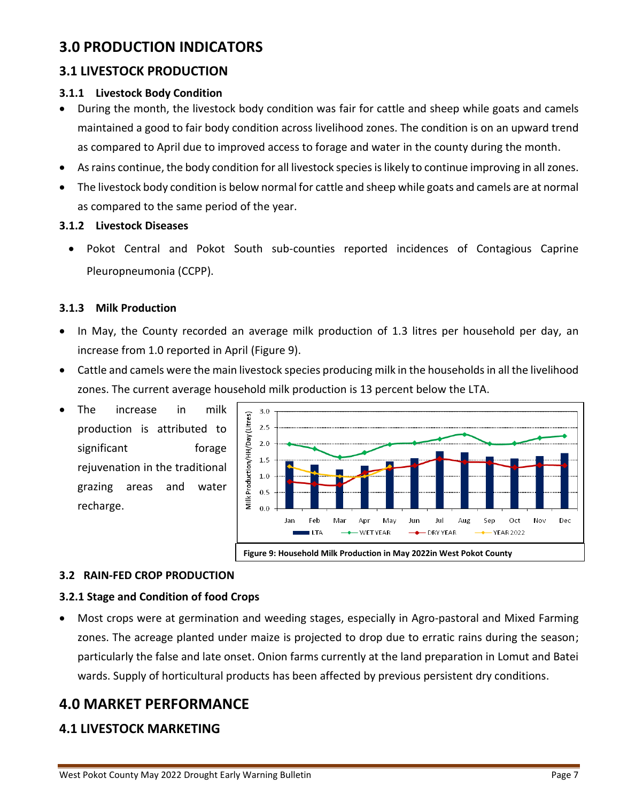# **3.0 PRODUCTION INDICATORS**

## **3.1 LIVESTOCK PRODUCTION**

### **3.1.1 Livestock Body Condition**

- During the month, the livestock body condition was fair for cattle and sheep while goats and camels maintained a good to fair body condition across livelihood zones. The condition is on an upward trend as compared to April due to improved access to forage and water in the county during the month.
- As rains continue, the body condition for all livestock species is likely to continue improving in all zones.
- The livestock body condition is below normal for cattle and sheep while goats and camels are at normal as compared to the same period of the year.

#### **3.1.2 Livestock Diseases**

• Pokot Central and Pokot South sub-counties reported incidences of Contagious Caprine Pleuropneumonia (CCPP).

#### **3.1.3 Milk Production**

- In May, the County recorded an average milk production of 1.3 litres per household per day, an increase from 1.0 reported in April (Figure 9).
- Cattle and camels were the main livestock species producing milk in the households in all the livelihood zones. The current average household milk production is 13 percent below the LTA.
- The increase in milk production is attributed to significant forage rejuvenation in the traditional grazing areas and water recharge.



#### **3.2 RAIN-FED CROP PRODUCTION**

#### **3.2.1 Stage and Condition of food Crops**

• Most crops were at germination and weeding stages, especially in Agro-pastoral and Mixed Farming zones. The acreage planted under maize is projected to drop due to erratic rains during the season; particularly the false and late onset. Onion farms currently at the land preparation in Lomut and Batei wards. Supply of horticultural products has been affected by previous persistent dry conditions.

## **4.0 MARKET PERFORMANCE**

## **4.1 LIVESTOCK MARKETING**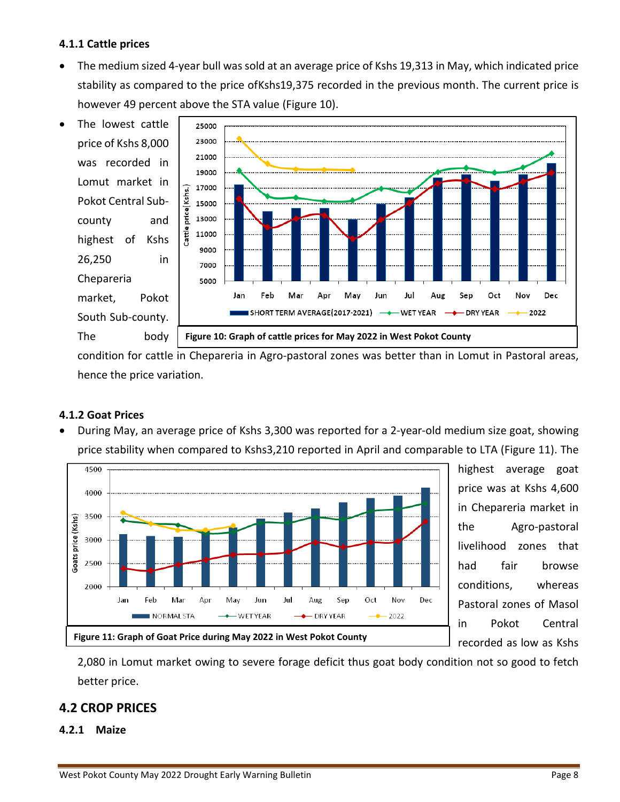#### **4.1.1 Cattle prices**

• The medium sized 4-year bull was sold at an average price of Kshs 19,313 in May, which indicated price stability as compared to the price ofKshs19,375 recorded in the previous month. The current price is however 49 percent above the STA value (Figure 10).



condition for cattle in Chepareria in Agro-pastoral zones was better than in Lomut in Pastoral areas, hence the price variation.

#### **4.1.2 Goat Prices**

• During May, an average price of Kshs 3,300 was reported for a 2-year-old medium size goat, showing price stability when compared to Kshs3,210 reported in April and comparable to LTA (Figure 11). The



highest average goat price was at Kshs 4,600 in Chepareria market in the Agro-pastoral livelihood zones that had fair browse conditions, whereas Pastoral zones of Masol in Pokot Central recorded as low as Kshs

2,080 in Lomut market owing to severe forage deficit thus goat body condition not so good to fetch better price.

### **4.2 CROP PRICES**

#### **4.2.1 Maize**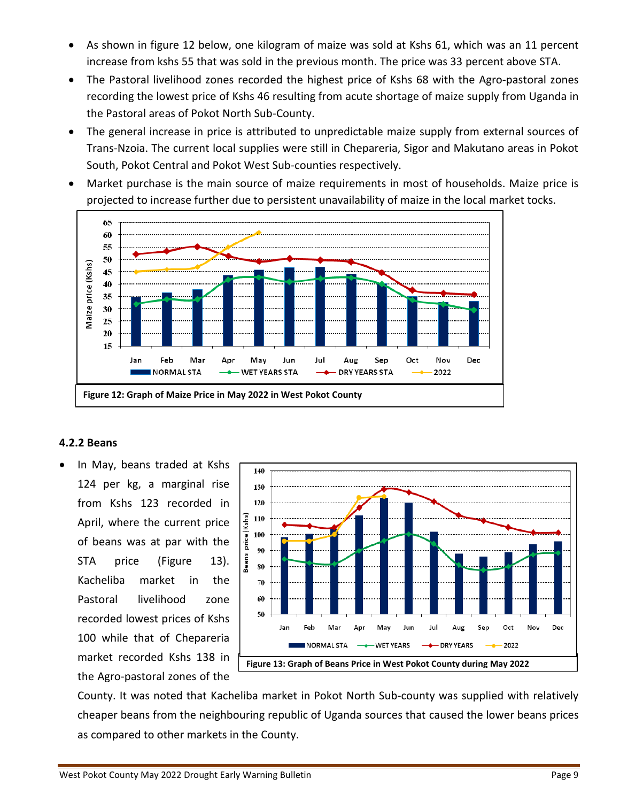- As shown in figure 12 below, one kilogram of maize was sold at Kshs 61, which was an 11 percent increase from kshs 55 that was sold in the previous month. The price was 33 percent above STA.
- The Pastoral livelihood zones recorded the highest price of Kshs 68 with the Agro-pastoral zones recording the lowest price of Kshs 46 resulting from acute shortage of maize supply from Uganda in the Pastoral areas of Pokot North Sub-County.
- The general increase in price is attributed to unpredictable maize supply from external sources of Trans-Nzoia. The current local supplies were still in Chepareria, Sigor and Makutano areas in Pokot South, Pokot Central and Pokot West Sub-counties respectively.
- Market purchase is the main source of maize requirements in most of households. Maize price is projected to increase further due to persistent unavailability of maize in the local market tocks.



#### **4.2.2 Beans**

• In May, beans traded at Kshs 124 per kg, a marginal rise from Kshs 123 recorded in April, where the current price of beans was at par with the STA price (Figure 13). Kacheliba market in the Pastoral livelihood zone recorded lowest prices of Kshs 100 while that of Chepareria market recorded Kshs 138 in the Agro-pastoral zones of the



County. It was noted that Kacheliba market in Pokot North Sub-county was supplied with relatively cheaper beans from the neighbouring republic of Uganda sources that caused the lower beans prices as compared to other markets in the County.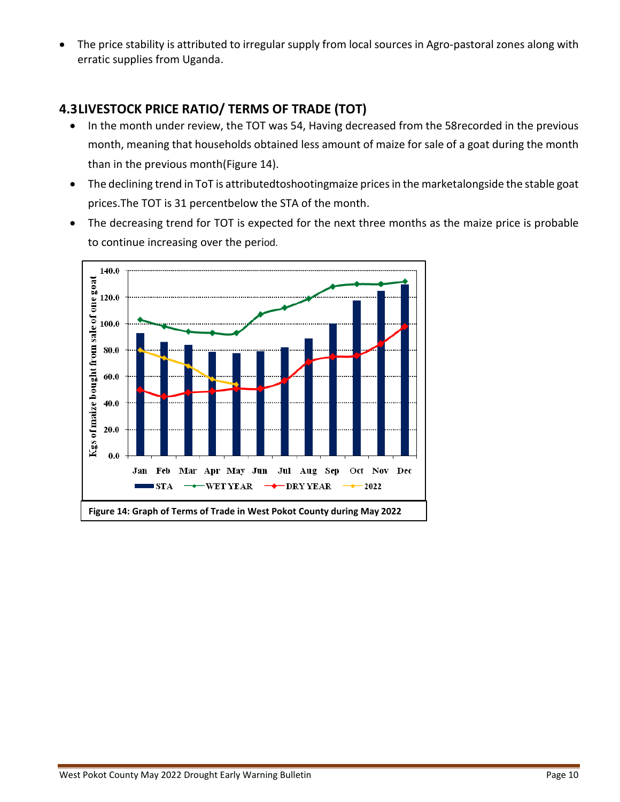• The price stability is attributed to irregular supply from local sources in Agro-pastoral zones along with erratic supplies from Uganda.

## **4.3LIVESTOCK PRICE RATIO/ TERMS OF TRADE (TOT)**

- In the month under review, the TOT was 54, Having decreased from the 58recorded in the previous month, meaning that households obtained less amount of maize for sale of a goat during the month than in the previous month(Figure 14).
- The declining trend in ToT is attributedtoshootingmaize prices in the marketalongside the stable goat prices.The TOT is 31 percentbelow the STA of the month.
- The decreasing trend for TOT is expected for the next three months as the maize price is probable to continue increasing over the period.

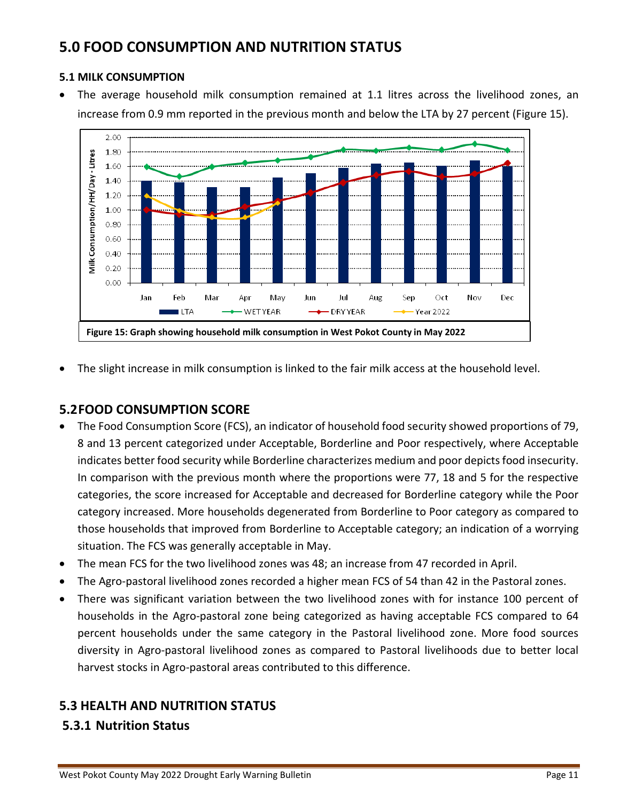# **5.0 FOOD CONSUMPTION AND NUTRITION STATUS**

#### **5.1 MILK CONSUMPTION**

• The average household milk consumption remained at 1.1 litres across the livelihood zones, an increase from 0.9 mm reported in the previous month and below the LTA by 27 percent (Figure 15).



• The slight increase in milk consumption is linked to the fair milk access at the household level.

## **5.2FOOD CONSUMPTION SCORE**

- The Food Consumption Score (FCS), an indicator of household food security showed proportions of 79, 8 and 13 percent categorized under Acceptable, Borderline and Poor respectively, where Acceptable indicates better food security while Borderline characterizes medium and poor depicts food insecurity. In comparison with the previous month where the proportions were 77, 18 and 5 for the respective categories, the score increased for Acceptable and decreased for Borderline category while the Poor category increased. More households degenerated from Borderline to Poor category as compared to those households that improved from Borderline to Acceptable category; an indication of a worrying situation. The FCS was generally acceptable in May.
- The mean FCS for the two livelihood zones was 48; an increase from 47 recorded in April.
- The Agro-pastoral livelihood zones recorded a higher mean FCS of 54 than 42 in the Pastoral zones.
- There was significant variation between the two livelihood zones with for instance 100 percent of households in the Agro-pastoral zone being categorized as having acceptable FCS compared to 64 percent households under the same category in the Pastoral livelihood zone. More food sources diversity in Agro-pastoral livelihood zones as compared to Pastoral livelihoods due to better local harvest stocks in Agro-pastoral areas contributed to this difference.

## **5.3 HEALTH AND NUTRITION STATUS**

### **5.3.1 Nutrition Status**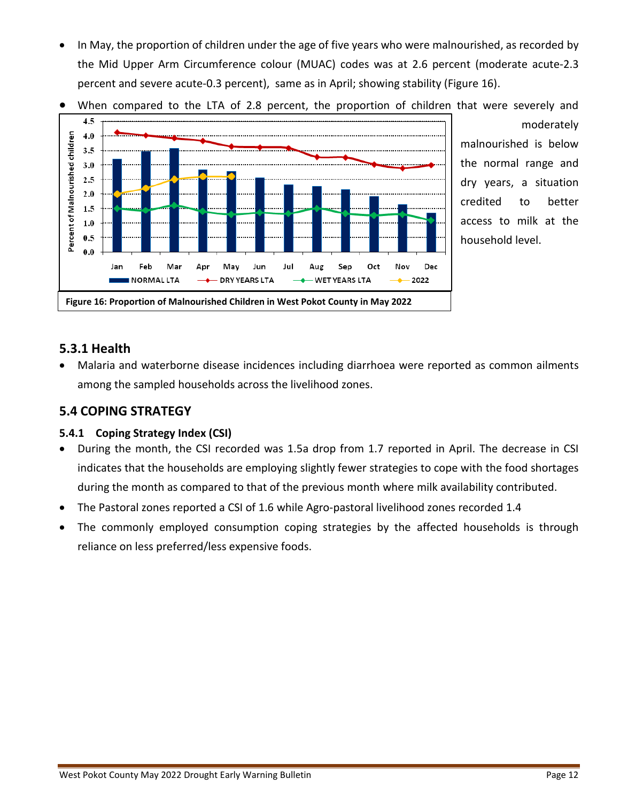• In May, the proportion of children under the age of five years who were malnourished, as recorded by the Mid Upper Arm Circumference colour (MUAC) codes was at 2.6 percent (moderate acute-2.3 percent and severe acute-0.3 percent), same as in April; showing stability (Figure 16).



When compared to the LTA of 2.8 percent, the proportion of children that were severely and moderately

malnourished is below the normal range and dry years, a situation credited to better access to milk at the household level.

### **5.3.1 Health**

• Malaria and waterborne disease incidences including diarrhoea were reported as common ailments among the sampled households across the livelihood zones.

## **5.4 COPING STRATEGY**

### **5.4.1 Coping Strategy Index (CSI)**

- During the month, the CSI recorded was 1.5a drop from 1.7 reported in April. The decrease in CSI indicates that the households are employing slightly fewer strategies to cope with the food shortages during the month as compared to that of the previous month where milk availability contributed.
- The Pastoral zones reported a CSI of 1.6 while Agro-pastoral livelihood zones recorded 1.4
- The commonly employed consumption coping strategies by the affected households is through reliance on less preferred/less expensive foods.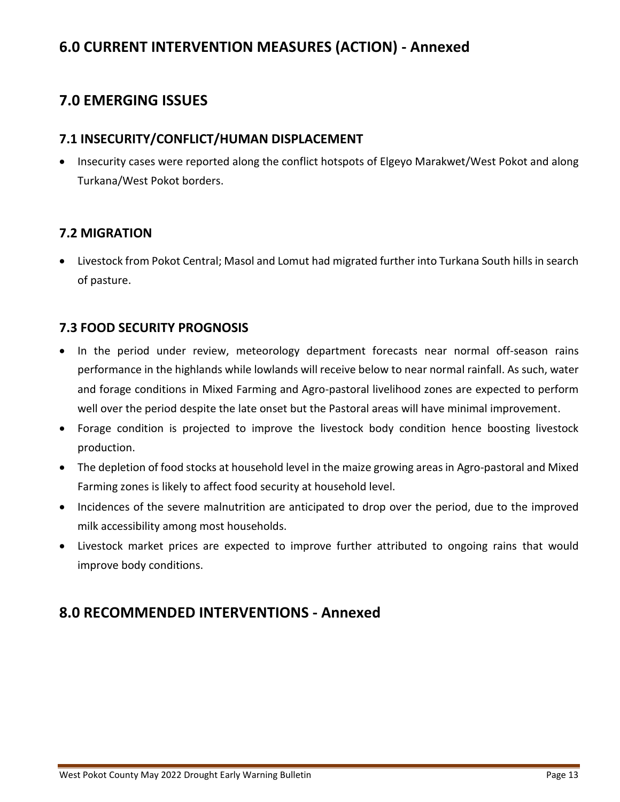# **6.0 CURRENT INTERVENTION MEASURES (ACTION) - Annexed**

# **7.0 EMERGING ISSUES**

## **7.1 INSECURITY/CONFLICT/HUMAN DISPLACEMENT**

• Insecurity cases were reported along the conflict hotspots of Elgeyo Marakwet/West Pokot and along Turkana/West Pokot borders.

## **7.2 MIGRATION**

• Livestock from Pokot Central; Masol and Lomut had migrated further into Turkana South hills in search of pasture.

## **7.3 FOOD SECURITY PROGNOSIS**

- In the period under review, meteorology department forecasts near normal off-season rains performance in the highlands while lowlands will receive below to near normal rainfall. As such, water and forage conditions in Mixed Farming and Agro-pastoral livelihood zones are expected to perform well over the period despite the late onset but the Pastoral areas will have minimal improvement.
- Forage condition is projected to improve the livestock body condition hence boosting livestock production.
- The depletion of food stocks at household level in the maize growing areas in Agro-pastoral and Mixed Farming zones is likely to affect food security at household level.
- Incidences of the severe malnutrition are anticipated to drop over the period, due to the improved milk accessibility among most households.
- Livestock market prices are expected to improve further attributed to ongoing rains that would improve body conditions.

## **8.0 RECOMMENDED INTERVENTIONS - Annexed**